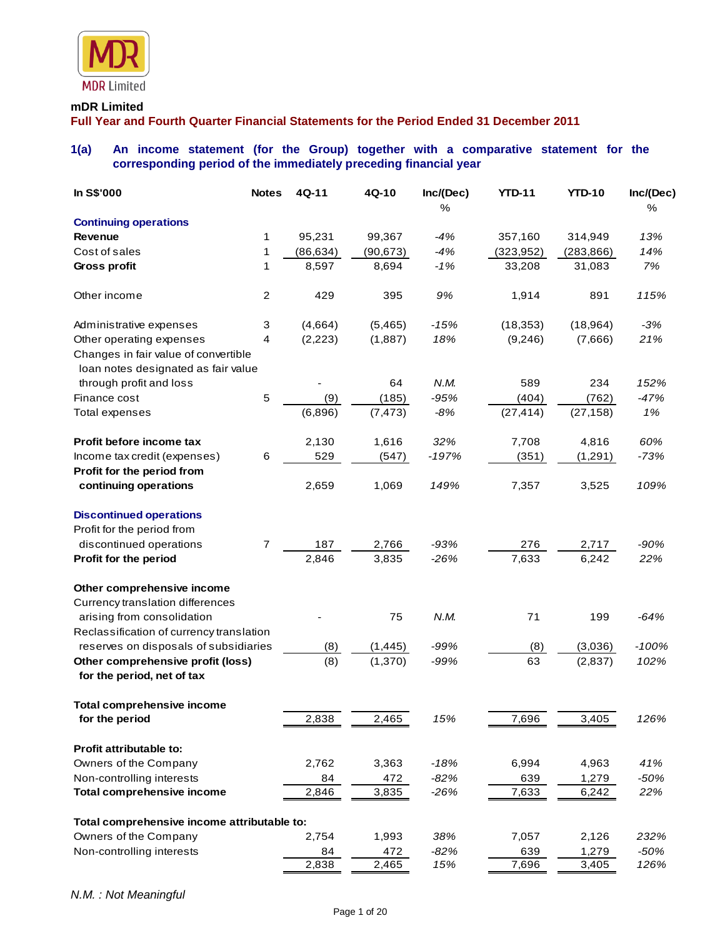

## **mDR Limited**

**Full Year and Fourth Quarter Financial Statements for the Period Ended 31 December 2011**

# **1(a) An income statement (for the Group) together with a comparative statement for the corresponding period of the immediately preceding financial year**

| In S\$'000                                                                                              | <b>Notes</b>     | 4Q-11     | 4Q-10     | Inc/(Dec) | <b>YTD-11</b> | <b>YTD-10</b> | Inc/(Dec) |
|---------------------------------------------------------------------------------------------------------|------------------|-----------|-----------|-----------|---------------|---------------|-----------|
|                                                                                                         |                  |           |           | %         |               |               | %         |
| <b>Continuing operations</b>                                                                            |                  |           |           |           |               |               |           |
| <b>Revenue</b>                                                                                          | 1                | 95,231    | 99,367    | $-4%$     | 357,160       | 314,949       | 13%       |
| Cost of sales                                                                                           | 1                | (86, 634) | (90, 673) | $-4%$     | (323, 952)    | (283, 866)    | 14%       |
| Gross profit                                                                                            | 1                | 8,597     | 8,694     | $-1%$     | 33,208        | 31,083        | 7%        |
| Other income                                                                                            | $\boldsymbol{2}$ | 429       | 395       | 9%        | 1,914         | 891           | 115%      |
| Administrative expenses                                                                                 | 3                | (4,664)   | (5,465)   | $-15%$    | (18, 353)     | (18, 964)     | $-3%$     |
| Other operating expenses<br>Changes in fair value of convertible<br>loan notes designated as fair value | 4                | (2, 223)  | (1,887)   | 18%       | (9,246)       | (7,666)       | 21%       |
| through profit and loss                                                                                 |                  |           | 64        | N.M.      | 589           | 234           | 152%      |
| Finance cost                                                                                            | 5                | (9)       | (185)     | $-95%$    | (404)         | (762)         | $-47%$    |
| Total expenses                                                                                          |                  | (6,896)   | (7, 473)  | $-8%$     | (27, 414)     | (27, 158)     | 1%        |
| Profit before income tax                                                                                |                  | 2,130     | 1,616     | 32%       | 7,708         | 4,816         | 60%       |
| Income tax credit (expenses)                                                                            | 6                | 529       | (547)     | $-197%$   | (351)         | (1,291)       | $-73%$    |
| Profit for the period from                                                                              |                  |           |           |           |               |               |           |
| continuing operations                                                                                   |                  | 2,659     | 1,069     | 149%      | 7,357         | 3,525         | 109%      |
| <b>Discontinued operations</b>                                                                          |                  |           |           |           |               |               |           |
| Profit for the period from                                                                              |                  |           |           |           |               |               |           |
| discontinued operations                                                                                 | 7                | 187       | 2,766     | $-93%$    | 276           | 2,717         | $-90%$    |
| Profit for the period                                                                                   |                  | 2,846     | 3,835     | $-26%$    | 7,633         | 6,242         | 22%       |
| Other comprehensive income                                                                              |                  |           |           |           |               |               |           |
| Currency translation differences                                                                        |                  |           |           |           |               |               |           |
| arising from consolidation                                                                              |                  |           | 75        | N.M.      | 71            | 199           | $-64%$    |
| Reclassification of currency translation                                                                |                  |           |           |           |               |               |           |
| reserves on disposals of subsidiaries                                                                   |                  | (8)       | (1, 445)  | $-99%$    | (8)           | (3,036)       | $-100%$   |
| Other comprehensive profit (loss)<br>for the period, net of tax                                         |                  | (8)       | (1,370)   | $-99%$    | 63            | (2,837)       | 102%      |
| <b>Total comprehensive income</b>                                                                       |                  |           |           |           |               |               |           |
| for the period                                                                                          |                  | 2,838     | 2,465     | 15%       | 7,696         | 3,405         | 126%      |
| Profit attributable to:                                                                                 |                  |           |           |           |               |               |           |
| Owners of the Company                                                                                   |                  | 2,762     | 3,363     | $-18%$    | 6,994         | 4,963         | 41%       |
| Non-controlling interests                                                                               |                  | 84        | 472       | $-82%$    | 639           | 1,279         | $-50%$    |
| <b>Total comprehensive income</b>                                                                       |                  | 2,846     | 3,835     | $-26%$    | 7,633         | 6,242         | 22%       |
| Total comprehensive income attributable to:                                                             |                  |           |           |           |               |               |           |
| Owners of the Company                                                                                   |                  | 2,754     | 1,993     | 38%       | 7,057         | 2,126         | 232%      |
| Non-controlling interests                                                                               |                  | 84        | 472       | $-82%$    | 639           | 1,279         | $-50%$    |
|                                                                                                         |                  | 2,838     | 2,465     | 15%       | 7,696         | 3,405         | 126%      |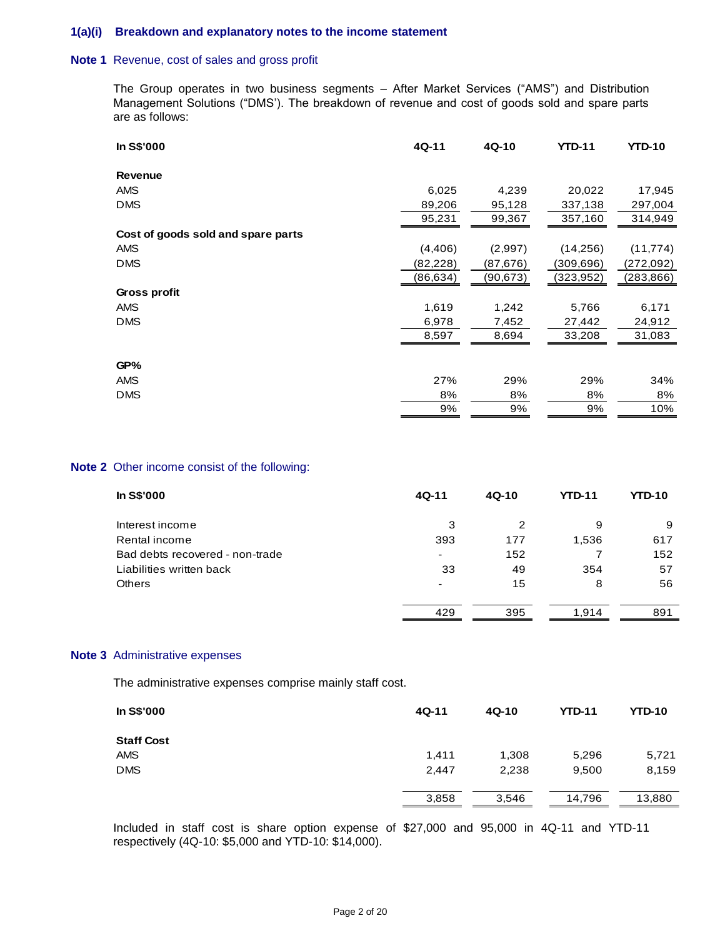### **1(a)(i) Breakdown and explanatory notes to the income statement**

#### **Note 1** Revenue, cost of sales and gross profit

The Group operates in two business segments – After Market Services ("AMS") and Distribution Management Solutions ("DMS'). The breakdown of revenue and cost of goods sold and spare parts are as follows:

| In S\$'000                         | 4Q-11    | $4Q-10$   | <b>YTD-11</b> | <b>YTD-10</b> |
|------------------------------------|----------|-----------|---------------|---------------|
| <b>Revenue</b>                     |          |           |               |               |
| <b>AMS</b>                         | 6,025    | 4,239     | 20,022        | 17,945        |
| <b>DMS</b>                         | 89,206   | 95,128    | 337,138       | 297,004       |
|                                    | 95,231   | 99,367    | 357,160       | 314,949       |
| Cost of goods sold and spare parts |          |           |               |               |
| <b>AMS</b>                         | (4,406)  | (2,997)   | (14,256)      | (11, 774)     |
| <b>DMS</b>                         | (82,228) | (87, 676) | (309,696)     | (272,092)     |
|                                    | (86,634) | (90,673)  | (323, 952)    | (283, 866)    |
| Gross profit                       |          |           |               |               |
| <b>AMS</b>                         | 1,619    | 1,242     | 5,766         | 6,171         |
| <b>DMS</b>                         | 6,978    | 7,452     | 27,442        | 24,912        |
|                                    | 8,597    | 8,694     | 33,208        | 31,083        |
| GP%                                |          |           |               |               |
| <b>AMS</b>                         | 27%      | 29%       | 29%           | 34%           |
| <b>DMS</b>                         | 8%       | 8%        | 8%            | 8%            |
|                                    | 9%       | 9%        | 9%            | 10%           |
|                                    |          |           |               |               |

#### **Note 2** Other income consist of the following:

| <b>In S\$'000</b>               | 4Q-11                    | 4Q-10 | <b>YTD-11</b> | <b>YTD-10</b> |
|---------------------------------|--------------------------|-------|---------------|---------------|
| Interest income                 | 3                        | 2     | 9             | 9             |
| Rental income                   | 393                      | 177   | 1,536         | 617           |
| Bad debts recovered - non-trade | ٠                        | 152   |               | 152           |
| Liabilities written back        | 33                       | 49    | 354           | 57            |
| <b>Others</b>                   | $\overline{\phantom{0}}$ | 15    | 8             | 56            |
|                                 | 429                      | 395   | 1.914         | 891           |

#### **Note 3** Administrative expenses

The administrative expenses comprise mainly staff cost.

| In S\$'000        | 4Q-11 | 4Q-10 | <b>YTD-11</b> | <b>YTD-10</b> |
|-------------------|-------|-------|---------------|---------------|
| <b>Staff Cost</b> |       |       |               |               |
| AMS               | 1.411 | 1,308 | 5,296         | 5,721         |
| <b>DMS</b>        | 2,447 | 2,238 | 9,500         | 8,159         |
|                   | 3,858 | 3,546 | 14,796        | 13,880        |

Included in staff cost is share option expense of \$27,000 and 95,000 in 4Q-11 and YTD-11 respectively (4Q-10: \$5,000 and YTD-10: \$14,000).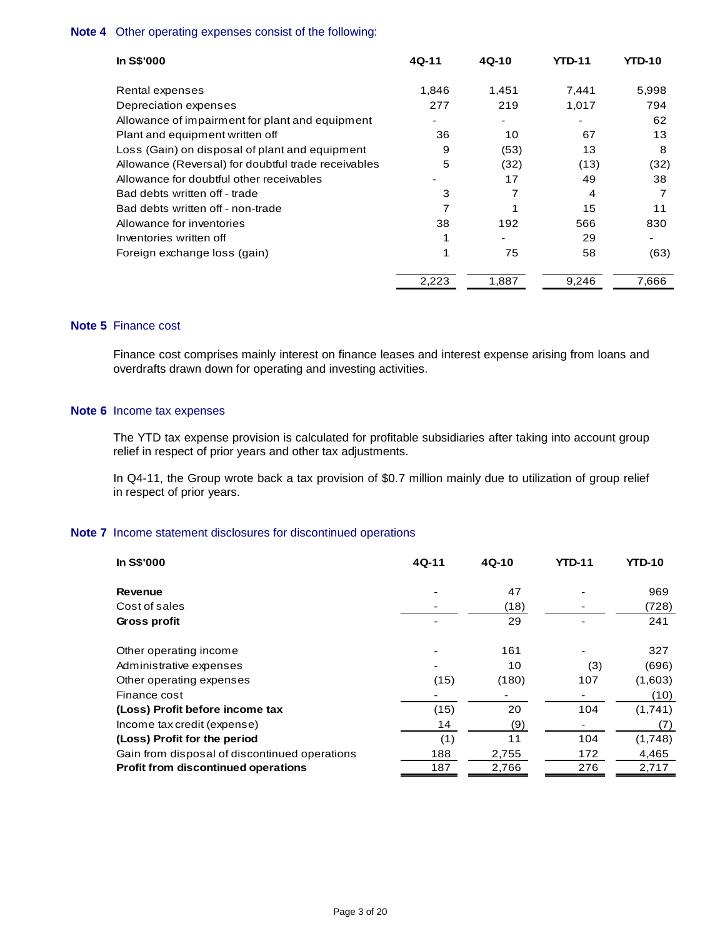## **Note 4** Other operating expenses consist of the following:

| <b>In S\$'000</b>                                   | $4Q-11$ | $4Q-10$ | YTD-11 | YTD-10 |
|-----------------------------------------------------|---------|---------|--------|--------|
| Rental expenses                                     | 1.846   | 1,451   | 7.441  | 5,998  |
| Depreciation expenses                               | 277     | 219     | 1,017  | 794    |
| Allowance of impairment for plant and equipment     |         |         |        | 62     |
| Plant and equipment written off                     | 36      | 10      | 67     | 13     |
| Loss (Gain) on disposal of plant and equipment      | 9       | (53)    | 13     | 8      |
| Allowance (Reversal) for doubtful trade receivables | 5       | (32)    | (13)   | (32)   |
| Allowance for doubtful other receivables            |         | 17      | 49     | 38     |
| Bad debts written off - trade                       | 3       | 7       | 4      | 7      |
| Bad debts written off - non-trade                   | 7       |         | 15     | 11     |
| Allowance for inventories                           | 38      | 192     | 566    | 830    |
| Inventories written off                             |         |         | 29     |        |
| Foreign exchange loss (gain)                        |         | 75      | 58     | (63)   |
|                                                     | 2,223   | 1,887   | 9,246  | 7,666  |

# **Note 5** Finance cost

Finance cost comprises mainly interest on finance leases and interest expense arising from loans and overdrafts drawn down for operating and investing activities.

#### **Note 6** Income tax expenses

The YTD tax expense provision is calculated for profitable subsidiaries after taking into account group relief in respect of prior years and other tax adjustments.

In Q4-11, the Group wrote back a tax provision of \$0.7 million mainly due to utilization of group relief in respect of prior years.

## **Note 7** Income statement disclosures for discontinued operations

| <b>In S\$'000</b>                             | 4Q-11 | $4Q-10$ | <b>YTD-11</b> | <b>YTD-10</b> |
|-----------------------------------------------|-------|---------|---------------|---------------|
| <b>Revenue</b>                                |       | 47      |               | 969           |
| Cost of sales                                 |       | (18)    |               | (728)         |
| Gross profit                                  |       | 29      |               | 241           |
| Other operating income                        |       | 161     |               | 327           |
| Administrative expenses                       |       | 10      | (3)           | (696)         |
| Other operating expenses                      | (15)  | (180)   | 107           | (1,603)       |
| Finance cost                                  |       |         |               | (10)          |
| (Loss) Profit before income tax               | (15)  | 20      | 104           | (1,741)       |
| Income tax credit (expense)                   | 14    | (9)     |               | (7)           |
| (Loss) Profit for the period                  | (1)   | 11      | 104           | (1,748)       |
| Gain from disposal of discontinued operations | 188   | 2,755   | 172           | 4,465         |
| <b>Profit from discontinued operations</b>    | 187   | 2,766   | 276           | 2,717         |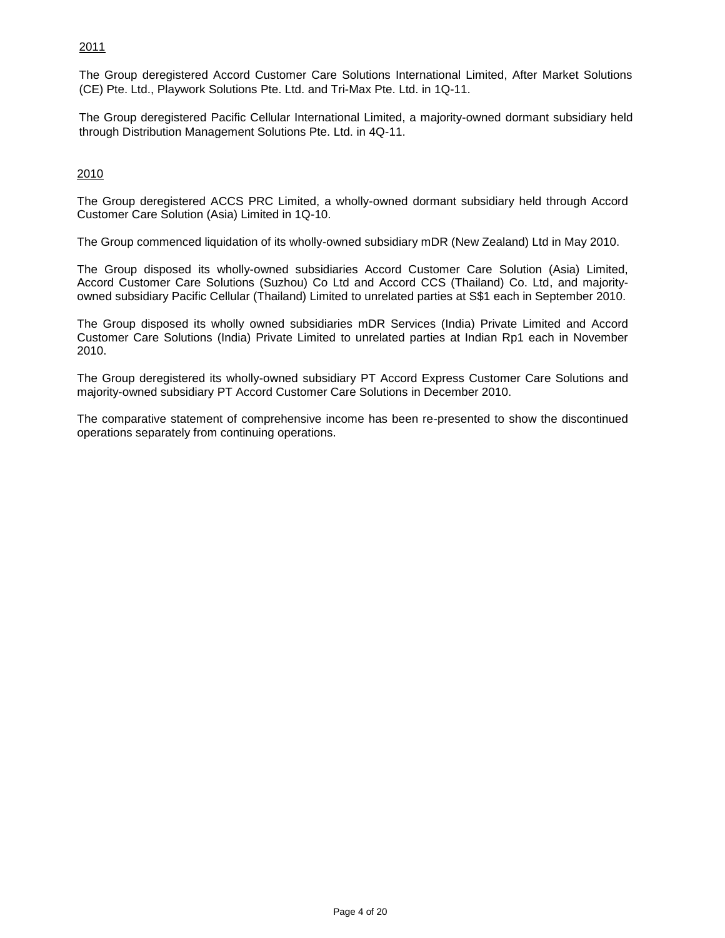# 2011

The Group deregistered Accord Customer Care Solutions International Limited, After Market Solutions (CE) Pte. Ltd., Playwork Solutions Pte. Ltd. and Tri-Max Pte. Ltd. in 1Q-11.

The Group deregistered Pacific Cellular International Limited, a majority-owned dormant subsidiary held through Distribution Management Solutions Pte. Ltd. in 4Q-11.

# 2010

The Group deregistered ACCS PRC Limited, a wholly-owned dormant subsidiary held through Accord Customer Care Solution (Asia) Limited in 1Q-10.

The Group commenced liquidation of its wholly-owned subsidiary mDR (New Zealand) Ltd in May 2010.

The Group disposed its wholly-owned subsidiaries Accord Customer Care Solution (Asia) Limited, Accord Customer Care Solutions (Suzhou) Co Ltd and Accord CCS (Thailand) Co. Ltd, and majorityowned subsidiary Pacific Cellular (Thailand) Limited to unrelated parties at S\$1 each in September 2010.

The Group disposed its wholly owned subsidiaries mDR Services (India) Private Limited and Accord Customer Care Solutions (India) Private Limited to unrelated parties at Indian Rp1 each in November 2010.

The Group deregistered its wholly-owned subsidiary PT Accord Express Customer Care Solutions and majority-owned subsidiary PT Accord Customer Care Solutions in December 2010.

The comparative statement of comprehensive income has been re-presented to show the discontinued operations separately from continuing operations.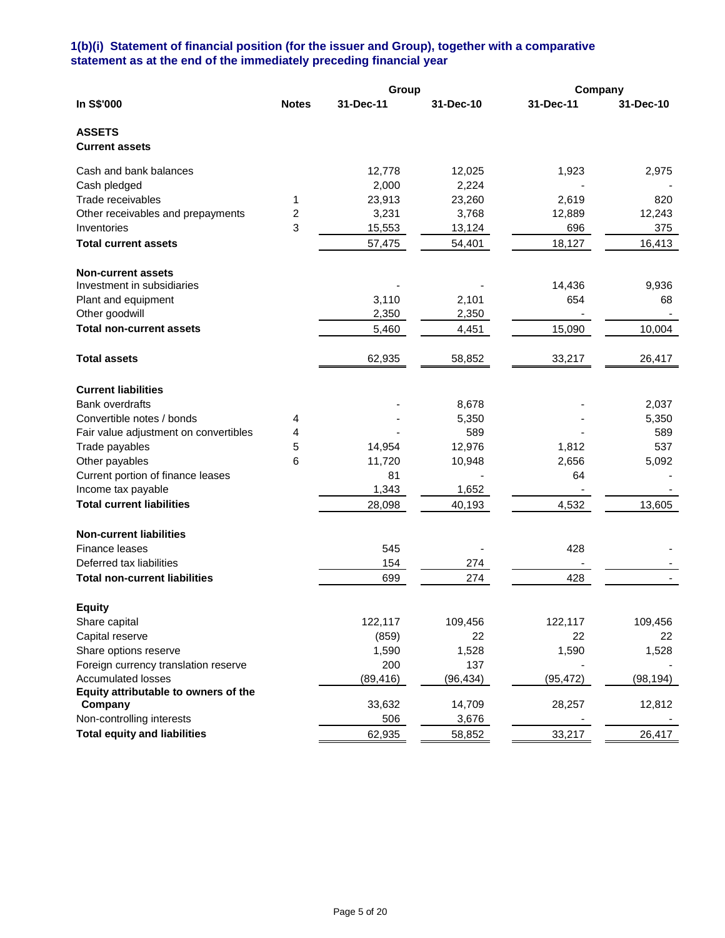## **1(b)(i) Statement of financial position (for the issuer and Group), together with a comparative statement as at the end of the immediately preceding financial year**

|                                       |              | Group     |           | Company   |           |
|---------------------------------------|--------------|-----------|-----------|-----------|-----------|
| In S\$'000                            | <b>Notes</b> | 31-Dec-11 | 31-Dec-10 | 31-Dec-11 | 31-Dec-10 |
| <b>ASSETS</b>                         |              |           |           |           |           |
| <b>Current assets</b>                 |              |           |           |           |           |
| Cash and bank balances                |              | 12,778    | 12,025    | 1,923     | 2,975     |
| Cash pledged                          |              | 2,000     | 2,224     |           |           |
| Trade receivables                     | 1            | 23,913    | 23,260    | 2,619     | 820       |
| Other receivables and prepayments     | 2            | 3,231     | 3,768     | 12,889    | 12,243    |
| Inventories                           | 3            | 15,553    | 13,124    | 696       | 375       |
| <b>Total current assets</b>           |              | 57,475    | 54,401    | 18,127    | 16,413    |
| <b>Non-current assets</b>             |              |           |           |           |           |
| Investment in subsidiaries            |              |           |           | 14,436    | 9,936     |
| Plant and equipment                   |              | 3,110     | 2,101     | 654       | 68        |
| Other goodwill                        |              | 2,350     | 2,350     |           |           |
| <b>Total non-current assets</b>       |              | 5,460     | 4,451     | 15,090    | 10,004    |
| <b>Total assets</b>                   |              | 62,935    | 58,852    | 33,217    | 26,417    |
| <b>Current liabilities</b>            |              |           |           |           |           |
| <b>Bank overdrafts</b>                |              |           | 8,678     |           | 2,037     |
| Convertible notes / bonds             | 4            |           | 5,350     |           | 5,350     |
| Fair value adjustment on convertibles | 4            |           | 589       |           | 589       |
| Trade payables                        | 5            | 14,954    | 12,976    | 1,812     | 537       |
| Other payables                        | 6            | 11,720    | 10,948    | 2,656     | 5,092     |
| Current portion of finance leases     |              | 81        |           | 64        |           |
| Income tax payable                    |              | 1,343     | 1,652     |           |           |
| <b>Total current liabilities</b>      |              | 28,098    | 40,193    | 4,532     | 13,605    |
| <b>Non-current liabilities</b>        |              |           |           |           |           |
| Finance leases                        |              | 545       |           | 428       |           |
| Deferred tax liabilities              |              | 154       | 274       |           |           |
| <b>Total non-current liabilities</b>  |              | 699       | 274       | 428       |           |
| <b>Equity</b>                         |              |           |           |           |           |
| Share capital                         |              | 122,117   | 109,456   | 122,117   | 109,456   |
| Capital reserve                       |              | (859)     | 22        | 22        | 22        |
| Share options reserve                 |              | 1,590     | 1,528     | 1,590     | 1,528     |
| Foreign currency translation reserve  |              | 200       | 137       |           |           |
| <b>Accumulated losses</b>             |              | (89, 416) | (96, 434) | (95, 472) | (98, 194) |
| Equity attributable to owners of the  |              |           |           |           |           |
| Company                               |              | 33,632    | 14,709    | 28,257    | 12,812    |
| Non-controlling interests             |              | 506       | 3,676     |           |           |
| <b>Total equity and liabilities</b>   |              | 62,935    | 58,852    | 33,217    | 26,417    |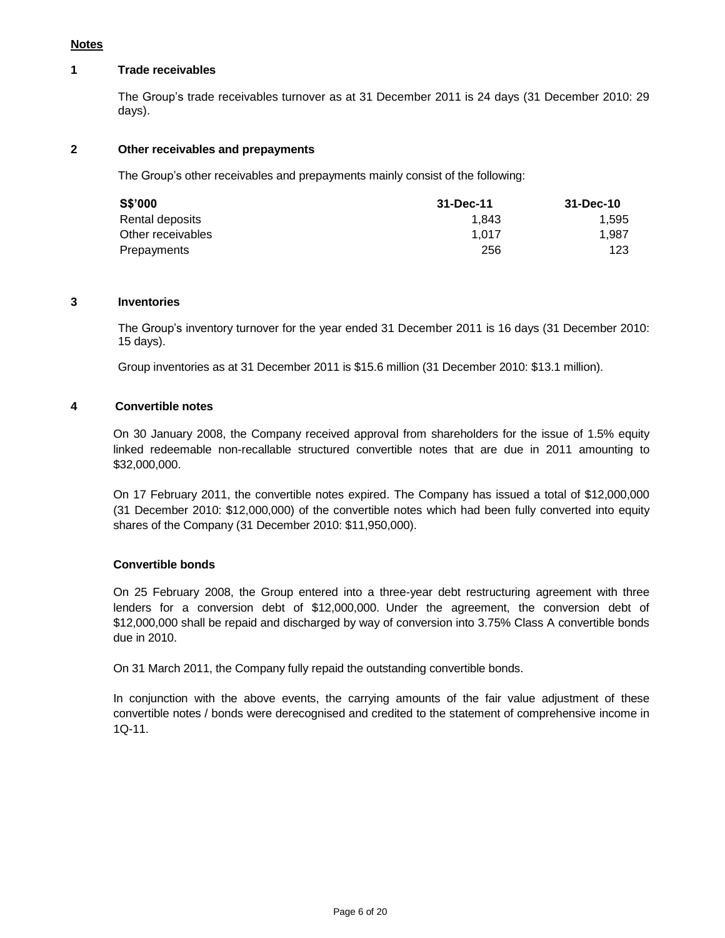# **Notes**

#### **1 Trade receivables**

The Group's trade receivables turnover as at 31 December 2011 is 24 days (31 December 2010: 29 days).

# **2 Other receivables and prepayments**

The Group's other receivables and prepayments mainly consist of the following:

| <b>S\$'000</b>    | 31-Dec-11 | 31-Dec-10 |
|-------------------|-----------|-----------|
| Rental deposits   | 1.843     | 1.595     |
| Other receivables | 1.017     | 1.987     |
| Prepayments       | 256       | 123       |

#### **3 Inventories**

The Group's inventory turnover for the year ended 31 December 2011 is 16 days (31 December 2010: 15 days).

Group inventories as at 31 December 2011 is \$15.6 million (31 December 2010: \$13.1 million).

## **4 Convertible notes**

On 30 January 2008, the Company received approval from shareholders for the issue of 1.5% equity linked redeemable non-recallable structured convertible notes that are due in 2011 amounting to \$32,000,000.

On 17 February 2011, the convertible notes expired. The Company has issued a total of \$12,000,000 (31 December 2010: \$12,000,000) of the convertible notes which had been fully converted into equity shares of the Company (31 December 2010: \$11,950,000).

## **Convertible bonds**

On 25 February 2008, the Group entered into a three-year debt restructuring agreement with three lenders for a conversion debt of \$12,000,000. Under the agreement, the conversion debt of \$12,000,000 shall be repaid and discharged by way of conversion into 3.75% Class A convertible bonds due in 2010.

On 31 March 2011, the Company fully repaid the outstanding convertible bonds.

In conjunction with the above events, the carrying amounts of the fair value adjustment of these convertible notes / bonds were derecognised and credited to the statement of comprehensive income in 1Q-11.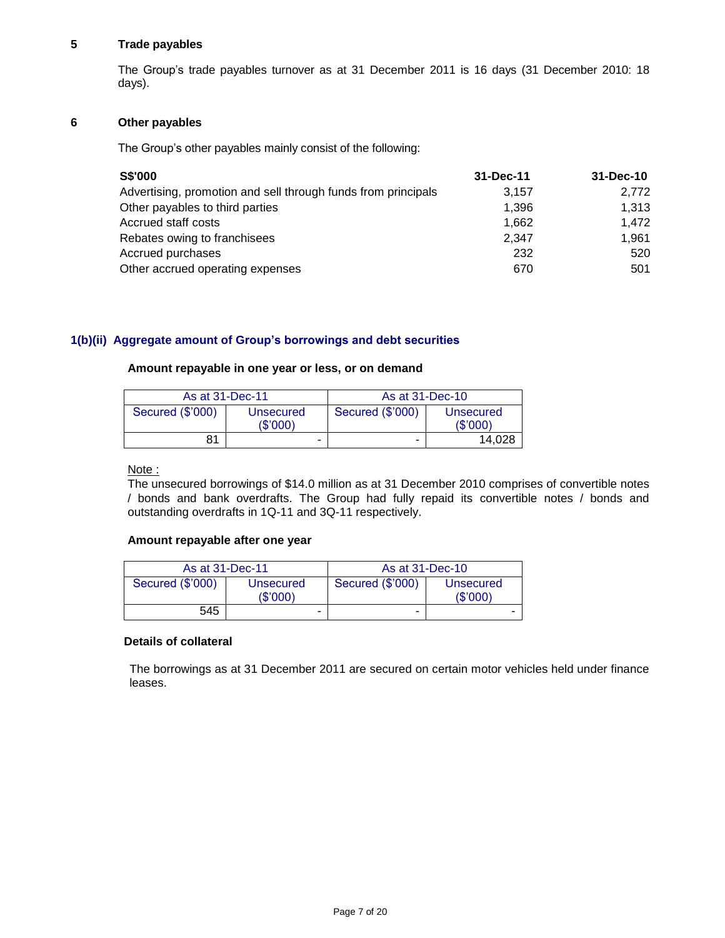## **5 Trade payables**

The Group's trade payables turnover as at 31 December 2011 is 16 days (31 December 2010: 18 days).

## **6 Other payables**

The Group's other payables mainly consist of the following:

| <b>S\$'000</b>                                                | 31-Dec-11 | 31-Dec-10 |
|---------------------------------------------------------------|-----------|-----------|
| Advertising, promotion and sell through funds from principals | 3.157     | 2.772     |
| Other payables to third parties                               | 1,396     | 1,313     |
| Accrued staff costs                                           | 1.662     | 1,472     |
| Rebates owing to franchisees                                  | 2.347     | 1.961     |
| Accrued purchases                                             | 232       | 520       |
| Other accrued operating expenses                              | 670       | 501       |

# **1(b)(ii) Aggregate amount of Group's borrowings and debt securities**

## **Amount repayable in one year or less, or on demand**

| As at 31-Dec-11  |           | As at 31-Dec-10  |           |  |
|------------------|-----------|------------------|-----------|--|
| Secured (\$'000) | Unsecured | Secured (\$'000) | Unsecured |  |
|                  | (S'000)   |                  | (S'000)   |  |
| 81               | -         | -                | 14,028    |  |

# Note :

The unsecured borrowings of \$14.0 million as at 31 December 2010 comprises of convertible notes / bonds and bank overdrafts. The Group had fully repaid its convertible notes / bonds and outstanding overdrafts in 1Q-11 and 3Q-11 respectively.

## **Amount repayable after one year**

| As at 31-Dec-11  |                      | As at 31-Dec-10  |                      |  |
|------------------|----------------------|------------------|----------------------|--|
| Secured (\$'000) | Unsecured<br>(S'000) | Secured (\$'000) | Unsecured<br>(S'000) |  |
| 545              | ٠                    | -                | ۰                    |  |

## **Details of collateral**

The borrowings as at 31 December 2011 are secured on certain motor vehicles held under finance leases.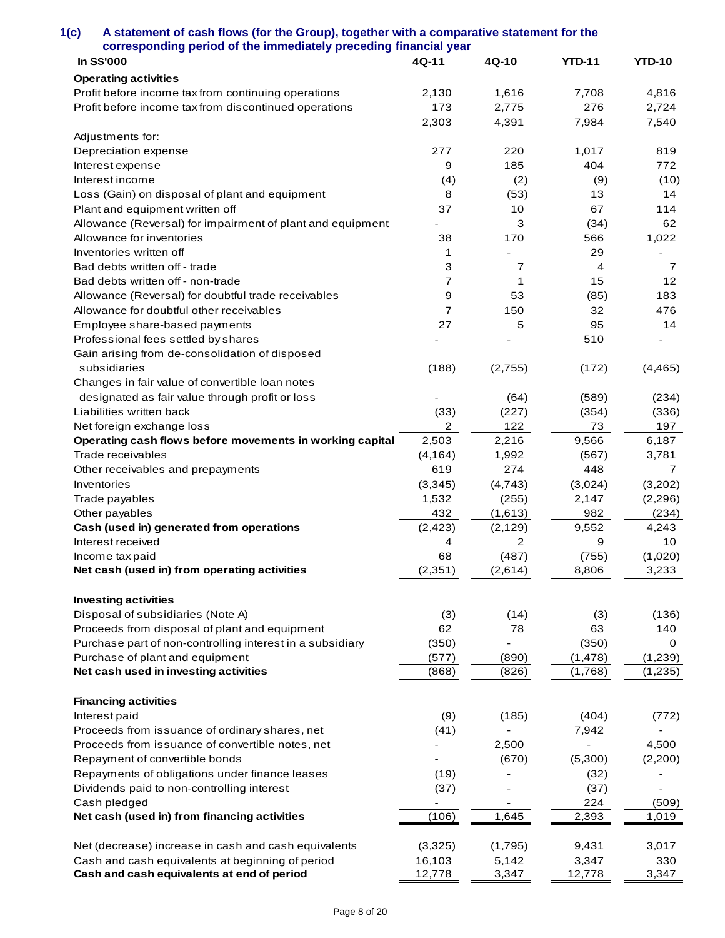| corresponding period of the immediately preceding financial year                               |          |          |               |                |
|------------------------------------------------------------------------------------------------|----------|----------|---------------|----------------|
| In S\$'000                                                                                     | 4Q-11    | 4Q-10    | <b>YTD-11</b> | <b>YTD-10</b>  |
| <b>Operating activities</b>                                                                    |          |          |               |                |
| Profit before income tax from continuing operations                                            | 2,130    | 1,616    | 7,708         | 4,816          |
| Profit before income tax from discontinued operations                                          | 173      | 2,775    | 276           | 2,724          |
|                                                                                                | 2,303    | 4,391    | 7,984         | 7,540          |
| Adjustments for:                                                                               |          |          |               |                |
| Depreciation expense                                                                           | 277      | 220      | 1,017         | 819            |
| Interest expense                                                                               | 9        | 185      | 404           | 772            |
| Interest income                                                                                | (4)      | (2)      | (9)           | (10)           |
| Loss (Gain) on disposal of plant and equipment                                                 | 8        | (53)     | 13            | 14             |
| Plant and equipment written off                                                                | 37       | 10       | 67            | 114            |
| Allowance (Reversal) for impairment of plant and equipment                                     |          | 3        | (34)          | 62             |
| Allowance for inventories                                                                      | 38       | 170      | 566           | 1,022          |
| Inventories written off                                                                        | 1        |          | 29            |                |
| Bad debts written off - trade                                                                  | 3        | 7        | 4             | $\overline{7}$ |
| Bad debts written off - non-trade                                                              | 7        | 1        | 15            | 12             |
| Allowance (Reversal) for doubtful trade receivables                                            | 9        | 53       | (85)          | 183            |
| Allowance for doubtful other receivables                                                       | 7        | 150      | 32            | 476            |
|                                                                                                |          |          |               |                |
| Employee share-based payments                                                                  | 27       | 5        | 95            | 14             |
| Professional fees settled by shares                                                            |          |          | 510           |                |
| Gain arising from de-consolidation of disposed                                                 |          |          |               |                |
| subsidiaries                                                                                   | (188)    | (2,755)  | (172)         | (4, 465)       |
| Changes in fair value of convertible loan notes                                                |          |          |               |                |
| designated as fair value through profit or loss                                                |          | (64)     | (589)         | (234)          |
| Liabilities written back                                                                       | (33)     | (227)    | (354)         | (336)          |
| Net foreign exchange loss                                                                      | 2        | 122      | 73            | 197            |
| Operating cash flows before movements in working capital                                       | 2,503    | 2,216    | 9,566         | 6,187          |
| Trade receivables                                                                              | (4, 164) | 1,992    | (567)         | 3,781          |
| Other receivables and prepayments                                                              | 619      | 274      | 448           | 7              |
| Inventories                                                                                    | (3,345)  | (4, 743) | (3,024)       | (3,202)        |
| Trade payables                                                                                 | 1,532    | (255)    | 2,147         | (2,296)        |
| Other payables                                                                                 | 432      | (1,613)  | 982           | (234)          |
| Cash (used in) generated from operations                                                       | (2, 423) | (2, 129) | 9,552         | 4,243          |
| Interest received                                                                              | 4        | 2        | 9             | 10             |
| Income tax paid                                                                                | 68       | (487)    | (755)         | (1,020)        |
| Net cash (used in) from operating activities                                                   | (2, 351) | (2,614)  | 8,806         | 3,233          |
|                                                                                                |          |          |               |                |
| <b>Investing activities</b>                                                                    |          |          |               |                |
| Disposal of subsidiaries (Note A)                                                              | (3)      | (14)     | (3)           | (136)          |
| Proceeds from disposal of plant and equipment                                                  | 62       | 78       | 63            | 140            |
| Purchase part of non-controlling interest in a subsidiary                                      | (350)    |          | (350)         | 0              |
| Purchase of plant and equipment                                                                | (577)    | (890)    | (1, 478)      | (1,239)        |
| Net cash used in investing activities                                                          | (868)    | (826)    | (1,768)       | (1, 235)       |
| <b>Financing activities</b>                                                                    |          |          |               |                |
| Interest paid                                                                                  | (9)      | (185)    | (404)         | (772)          |
| Proceeds from issuance of ordinary shares, net                                                 | (41)     |          | 7,942         |                |
| Proceeds from issuance of convertible notes, net                                               |          | 2,500    |               | 4,500          |
| Repayment of convertible bonds                                                                 |          |          |               |                |
|                                                                                                |          | (670)    | (5,300)       | (2,200)        |
| Repayments of obligations under finance leases                                                 | (19)     |          | (32)          |                |
| Dividends paid to non-controlling interest                                                     | (37)     |          | (37)          |                |
| Cash pledged                                                                                   |          |          | 224           | (509)          |
| Net cash (used in) from financing activities                                                   | (106)    | 1,645    | 2,393         | 1,019          |
| Net (decrease) increase in cash and cash equivalents                                           |          |          | 9,431         |                |
|                                                                                                | (3,325)  | (1,795)  |               | 3,017          |
| Cash and cash equivalents at beginning of period<br>Cash and cash equivalents at end of period | 16,103   | 5,142    | 3,347         | 330            |
|                                                                                                | 12,778   | 3,347    | 12,778        | 3,347          |

**1(c) A statement of cash flows (for the Group), together with a comparative statement for the**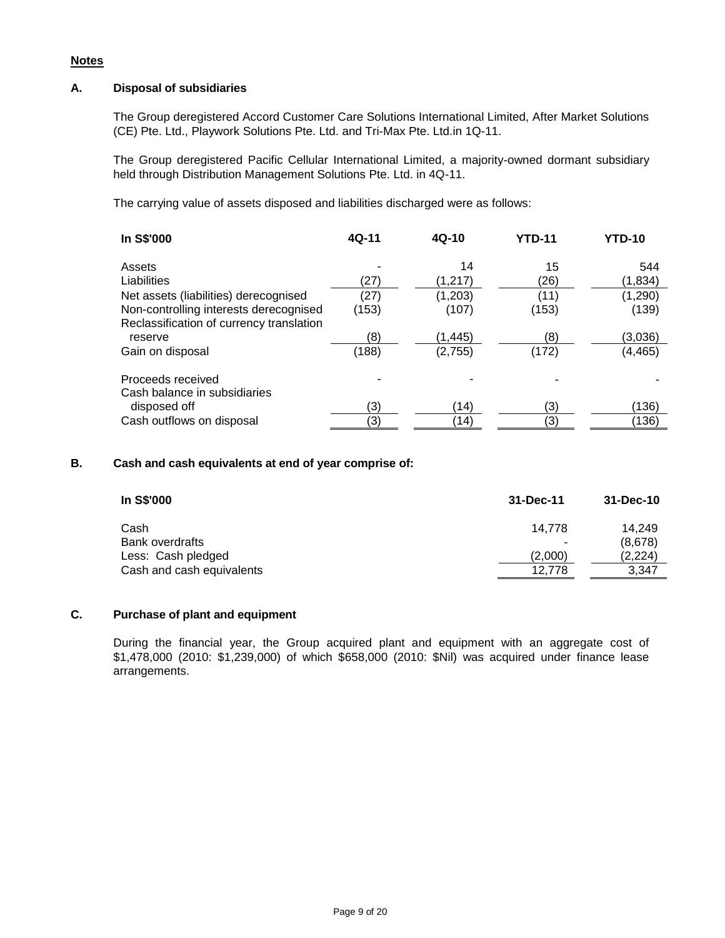## **Notes**

## **A. Disposal of subsidiaries**

The Group deregistered Accord Customer Care Solutions International Limited, After Market Solutions (CE) Pte. Ltd., Playwork Solutions Pte. Ltd. and Tri-Max Pte. Ltd.in 1Q-11.

The Group deregistered Pacific Cellular International Limited, a majority-owned dormant subsidiary held through Distribution Management Solutions Pte. Ltd. in 4Q-11.

The carrying value of assets disposed and liabilities discharged were as follows:

| In S\$'000                               | $4Q-11$ | $4Q-10$ | <b>YTD-11</b> | <b>YTD-10</b> |
|------------------------------------------|---------|---------|---------------|---------------|
| Assets                                   |         | 14      | 15            | 544           |
| Liabilities                              | (27)    | (1,217) | (26)          | (1,834)       |
| Net assets (liabilities) derecognised    | (27)    | (1,203) | (11)          | (1,290)       |
| Non-controlling interests derecognised   | (153)   | (107)   | (153)         | (139)         |
| Reclassification of currency translation |         |         |               |               |
| reserve                                  | (8)     | (1,445) | (8)           | (3,036)       |
| Gain on disposal                         | (188)   | (2,755) | (172)         | (4, 465)      |
| Proceeds received                        |         |         |               |               |
| Cash balance in subsidiaries             |         |         |               |               |
| disposed off                             | (3)     | (14)    | (3)           | (136)         |
| Cash outflows on disposal                | (3)     | (14)    | (3)           | (136)         |

## **B. Cash and cash equivalents at end of year comprise of:**

| In S\$'000                | 31-Dec-11 | 31-Dec-10 |
|---------------------------|-----------|-----------|
| Cash                      | 14.778    | 14.249    |
| <b>Bank overdrafts</b>    |           | (8,678)   |
| Less: Cash pledged        | (2.000)   | (2,224)   |
| Cash and cash equivalents | 12.778    | 3.347     |

# **C. Purchase of plant and equipment**

During the financial year, the Group acquired plant and equipment with an aggregate cost of \$1,478,000 (2010: \$1,239,000) of which \$658,000 (2010: \$Nil) was acquired under finance lease arrangements.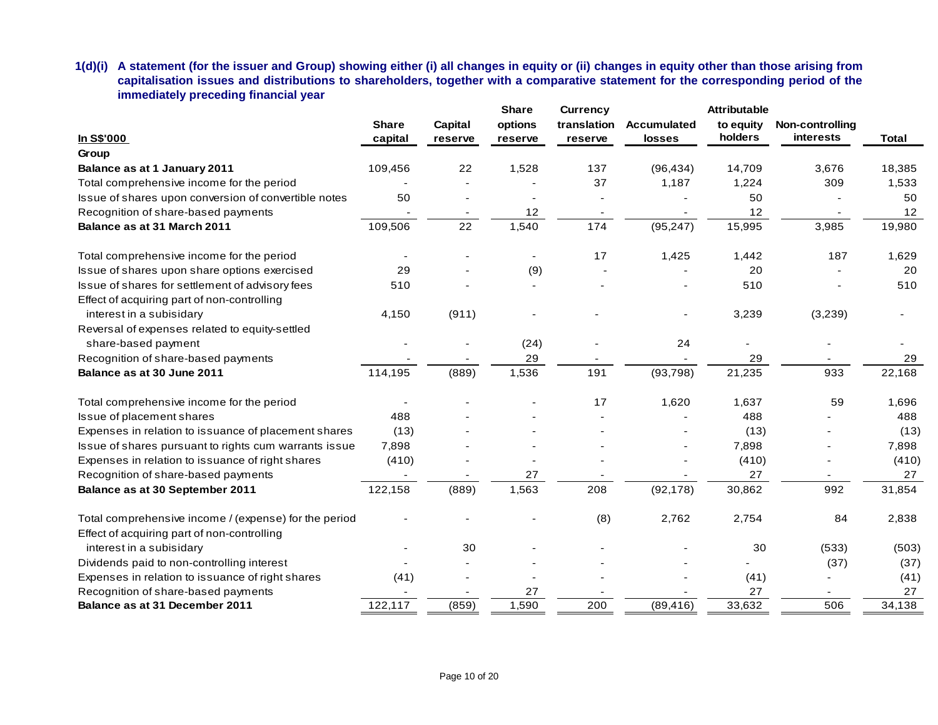**1(d)(i) A statement (for the issuer and Group) showing either (i) all changes in equity or (ii) changes in equity other than those arising from capitalisation issues and distributions to shareholders, together with a comparative statement for the corresponding period of the immediately preceding financial year**

| immediately preceding financial year                                                                 |                         |                    |                                    |                                           |                              |                                             |                              |              |
|------------------------------------------------------------------------------------------------------|-------------------------|--------------------|------------------------------------|-------------------------------------------|------------------------------|---------------------------------------------|------------------------------|--------------|
| In S\$'000                                                                                           | <b>Share</b><br>capital | Capital<br>reserve | <b>Share</b><br>options<br>reserve | <b>Currency</b><br>translation<br>reserve | <b>Accumulated</b><br>losses | <b>Attributable</b><br>to equity<br>holders | Non-controlling<br>interests | <b>Total</b> |
| Group                                                                                                |                         |                    |                                    |                                           |                              |                                             |                              |              |
| Balance as at 1 January 2011                                                                         | 109,456                 | 22                 | 1,528                              | 137                                       | (96, 434)                    | 14,709                                      | 3,676                        | 18,385       |
| Total comprehensive income for the period                                                            |                         |                    |                                    | 37                                        | 1,187                        | 1,224                                       | 309                          | 1,533        |
| Issue of shares upon conversion of convertible notes                                                 | 50                      |                    |                                    |                                           |                              | 50                                          |                              | 50           |
| Recognition of share-based payments                                                                  |                         |                    | 12                                 |                                           |                              | 12                                          |                              | 12           |
| Balance as at 31 March 2011                                                                          | 109,506                 | 22                 | 1,540                              | 174                                       | (95, 247)                    | 15,995                                      | 3,985                        | 19,980       |
| Total comprehensive income for the period                                                            |                         |                    |                                    | 17                                        | 1,425                        | 1,442                                       | 187                          | 1,629        |
| Issue of shares upon share options exercised                                                         | 29                      |                    | (9)                                |                                           |                              | 20                                          |                              | 20           |
| Issue of shares for settlement of advisory fees<br>Effect of acquiring part of non-controlling       | 510                     |                    |                                    |                                           |                              | 510                                         |                              | 510          |
| interest in a subisidary                                                                             | 4,150                   | (911)              |                                    |                                           |                              | 3,239                                       | (3,239)                      |              |
| Reversal of expenses related to equity-settled<br>share-based payment                                |                         |                    | (24)                               |                                           | 24                           |                                             |                              |              |
| Recognition of share-based payments                                                                  |                         |                    | 29                                 |                                           |                              | 29                                          |                              | 29           |
| Balance as at 30 June 2011                                                                           | 114,195                 | (889)              | 1,536                              | 191                                       | (93, 798)                    | 21,235                                      | 933                          | 22,168       |
| Total comprehensive income for the period                                                            |                         |                    |                                    | 17                                        | 1,620                        | 1,637                                       | 59                           | 1,696        |
| Issue of placement shares                                                                            | 488                     |                    |                                    |                                           |                              | 488                                         |                              | 488          |
| Expenses in relation to issuance of placement shares                                                 | (13)                    |                    |                                    |                                           |                              | (13)                                        |                              | (13)         |
| Issue of shares pursuant to rights cum warrants issue                                                | 7,898                   |                    |                                    |                                           |                              | 7,898                                       |                              | 7,898        |
| Expenses in relation to issuance of right shares                                                     | (410)                   |                    |                                    |                                           |                              | (410)                                       |                              | (410)        |
| Recognition of share-based payments                                                                  |                         |                    | 27                                 |                                           |                              | 27                                          |                              | 27           |
| Balance as at 30 September 2011                                                                      | 122,158                 | (889)              | 1,563                              | 208                                       | (92, 178)                    | 30,862                                      | 992                          | 31,854       |
| Total comprehensive income / (expense) for the period<br>Effect of acquiring part of non-controlling |                         |                    |                                    | (8)                                       | 2,762                        | 2,754                                       | 84                           | 2,838        |
| interest in a subisidary                                                                             |                         | 30                 |                                    |                                           |                              | 30                                          | (533)                        | (503)        |
| Dividends paid to non-controlling interest                                                           |                         |                    |                                    |                                           |                              |                                             | (37)                         | (37)         |
| Expenses in relation to issuance of right shares                                                     | (41)                    |                    |                                    |                                           |                              | (41)                                        |                              | (41)         |
| Recognition of share-based payments                                                                  |                         |                    | 27                                 |                                           |                              | 27                                          |                              | 27           |
| Balance as at 31 December 2011                                                                       | 122,117                 | (859)              | 1,590                              | 200                                       | (89, 416)                    | 33,632                                      | 506                          | 34,138       |
|                                                                                                      |                         |                    |                                    |                                           |                              |                                             |                              |              |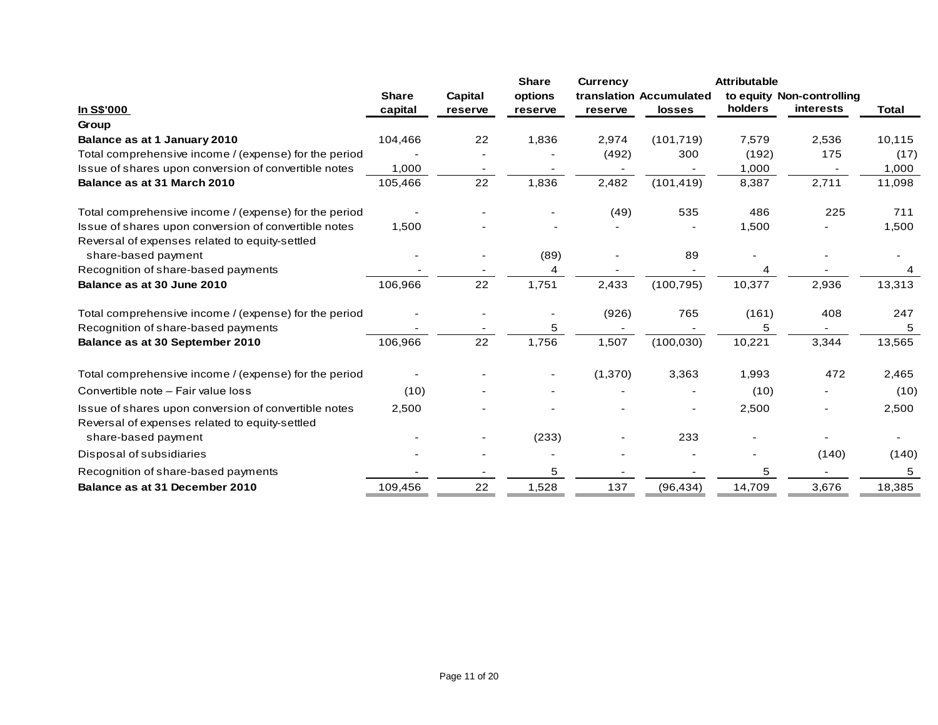|                                                                       |                          |                          | <b>Share</b> | <b>Currency</b> |                         | <b>Attributable</b> |                           |              |
|-----------------------------------------------------------------------|--------------------------|--------------------------|--------------|-----------------|-------------------------|---------------------|---------------------------|--------------|
|                                                                       | <b>Share</b>             | Capital                  | options      |                 | translation Accumulated |                     | to equity Non-controlling |              |
| In S\$'000                                                            | capital                  | reserve                  | reserve      | reserve         | <b>losses</b>           | holders             | <b>interests</b>          | <b>Total</b> |
| Group                                                                 |                          |                          |              |                 |                         |                     |                           |              |
| Balance as at 1 January 2010                                          | 104,466                  | 22                       | 1,836        | 2,974           | (101, 719)              | 7,579               | 2,536                     | 10,115       |
| Total comprehensive income / (expense) for the period                 |                          |                          |              | (492)           | 300                     | (192)               | 175                       | (17)         |
| Issue of shares upon conversion of convertible notes                  | 1,000                    | $\overline{\phantom{a}}$ |              | $\sim$          |                         | 1,000               | $\overline{\phantom{a}}$  | 1,000        |
| Balance as at 31 March 2010                                           | 105,466                  | 22                       | 1,836        | 2,482           | (101, 419)              | 8,387               | 2,711                     | 11,098       |
| Total comprehensive income / (expense) for the period                 | $\overline{\phantom{a}}$ |                          |              | (49)            | 535                     | 486                 | 225                       | 711          |
| Issue of shares upon conversion of convertible notes                  | 1,500                    |                          |              |                 |                         | 1,500               |                           | 1,500        |
| Reversal of expenses related to equity-settled                        |                          |                          |              |                 |                         |                     |                           |              |
| share-based payment                                                   |                          |                          | (89)         |                 | 89                      |                     |                           |              |
| Recognition of share-based payments                                   |                          |                          | 4            |                 |                         | 4                   |                           |              |
| Balance as at 30 June 2010                                            | 106,966                  | 22                       | 1,751        | 2,433           | (100, 795)              | 10,377              | 2,936                     | 13,313       |
| Total comprehensive income / (expense) for the period                 |                          |                          |              | (926)           | 765                     | (161)               | 408                       | 247          |
| Recognition of share-based payments                                   |                          |                          | 5            |                 |                         | 5                   |                           | 5            |
| Balance as at 30 September 2010                                       | 106,966                  | 22                       | 1,756        | 1,507           | (100, 030)              | 10,221              | 3,344                     | 13,565       |
| Total comprehensive income / (expense) for the period                 |                          |                          |              | (1,370)         | 3,363                   | 1,993               | 472                       | 2,465        |
| Convertible note - Fair value loss                                    | (10)                     |                          |              |                 |                         | (10)                |                           | (10)         |
| Issue of shares upon conversion of convertible notes                  | 2,500                    |                          |              |                 |                         | 2,500               |                           | 2,500        |
| Reversal of expenses related to equity-settled<br>share-based payment |                          |                          | (233)        |                 | 233                     |                     |                           |              |
| Disposal of subsidiaries                                              |                          |                          |              |                 |                         |                     | (140)                     | (140)        |
| Recognition of share-based payments                                   |                          |                          | 5            |                 |                         | 5                   |                           | 5            |
| Balance as at 31 December 2010                                        | 109,456                  | 22                       | 1,528        | 137             | (96, 434)               | 14,709              | 3,676                     | 18,385       |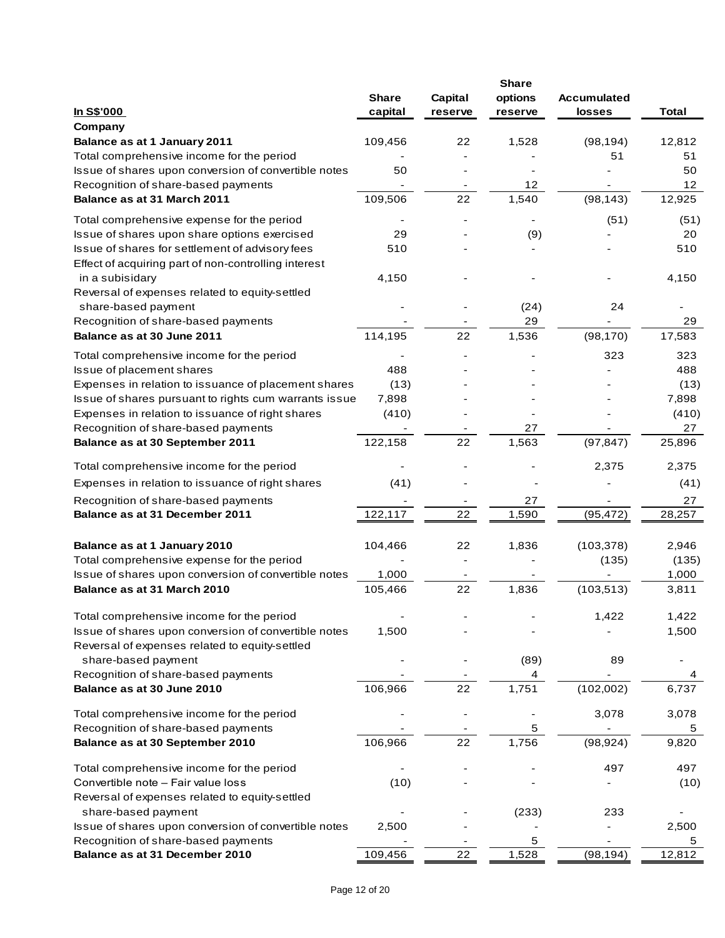|                                                                                                         | <b>Share</b> | Capital | <b>Share</b><br>options  | <b>Accumulated</b> |             |
|---------------------------------------------------------------------------------------------------------|--------------|---------|--------------------------|--------------------|-------------|
| <u>In S\$'000</u>                                                                                       | capital      | reserve | reserve                  | losses             | Total       |
| Company<br>Balance as at 1 January 2011                                                                 | 109,456      | 22      | 1,528                    | (98, 194)          | 12,812      |
| Total comprehensive income for the period                                                               |              |         |                          | 51                 | 51          |
| Issue of shares upon conversion of convertible notes                                                    | 50           |         |                          |                    | 50          |
| Recognition of share-based payments                                                                     |              |         | 12                       |                    | 12          |
| Balance as at 31 March 2011                                                                             | 109,506      | 22      | 1,540                    | (98, 143)          | 12,925      |
| Total comprehensive expense for the period                                                              |              |         | $\overline{\phantom{a}}$ | (51)               | (51)        |
| Issue of shares upon share options exercised                                                            | 29           |         | (9)                      |                    | 20          |
| Issue of shares for settlement of advisory fees<br>Effect of acquiring part of non-controlling interest | 510          |         |                          |                    | 510         |
| in a subisidary<br>Reversal of expenses related to equity-settled                                       | 4,150        |         |                          |                    | 4,150       |
| share-based payment                                                                                     |              |         | (24)                     | 24                 |             |
| Recognition of share-based payments                                                                     |              |         | 29                       |                    | 29          |
| Balance as at 30 June 2011                                                                              | 114,195      | 22      | 1,536                    | (98, 170)          | 17,583      |
| Total comprehensive income for the period                                                               |              |         |                          | 323                | 323         |
| Issue of placement shares                                                                               | 488          |         |                          |                    | 488         |
| Expenses in relation to issuance of placement shares                                                    | (13)         |         |                          |                    | (13)        |
| Issue of shares pursuant to rights cum warrants issue                                                   | 7,898        |         |                          |                    | 7,898       |
| Expenses in relation to issuance of right shares                                                        | (410)        |         |                          |                    | (410)       |
| Recognition of share-based payments                                                                     |              |         | 27                       |                    | 27          |
| Balance as at 30 September 2011                                                                         | 122,158      | 22      | 1,563                    | (97, 847)          | 25,896      |
| Total comprehensive income for the period                                                               |              |         |                          | 2,375              | 2,375       |
| Expenses in relation to issuance of right shares                                                        | (41)         |         |                          |                    | (41)        |
| Recognition of share-based payments                                                                     |              |         | 27                       |                    | 27          |
| Balance as at 31 December 2011                                                                          | 122,117      | 22      | 1,590                    | (95, 472)          | 28,257      |
| Balance as at 1 January 2010                                                                            | 104,466      | 22      | 1,836                    | (103, 378)         | 2,946       |
| Total comprehensive expense for the period                                                              |              |         |                          | (135)              | (135)       |
| Issue of shares upon conversion of convertible notes                                                    | 1,000        |         |                          |                    | 1,000       |
| Balance as at 31 March 2010                                                                             | 105,466      | 22      | 1,836                    | (103, 513)         | 3,811       |
| Total comprehensive income for the period                                                               |              |         |                          | 1,422              | 1,422       |
| Issue of shares upon conversion of convertible notes<br>Reversal of expenses related to equity-settled  | 1,500        |         |                          |                    | 1,500       |
| share-based payment                                                                                     |              |         | (89)                     | 89                 |             |
| Recognition of share-based payments                                                                     |              |         | 4                        |                    | 4           |
| Balance as at 30 June 2010                                                                              | 106,966      | 22      | 1,751                    | (102,002)          | 6,737       |
| Total comprehensive income for the period<br>Recognition of share-based payments                        |              |         | 5                        | 3,078              | 3,078<br>5  |
| Balance as at 30 September 2010                                                                         | 106,966      | 22      | 1,756                    | (98, 924)          | 9,820       |
| Total comprehensive income for the period                                                               |              |         |                          | 497                | 497         |
| Convertible note - Fair value loss                                                                      | (10)         |         |                          |                    | (10)        |
| Reversal of expenses related to equity-settled                                                          |              |         |                          |                    |             |
| share-based payment                                                                                     |              |         | (233)                    | 233                |             |
| Issue of shares upon conversion of convertible notes                                                    | 2,500        |         |                          |                    | 2,500       |
| Recognition of share-based payments<br>Balance as at 31 December 2010                                   | 109,456      | 22      | 5<br>1,528               | (98, 194)          | 5<br>12,812 |
|                                                                                                         |              |         |                          |                    |             |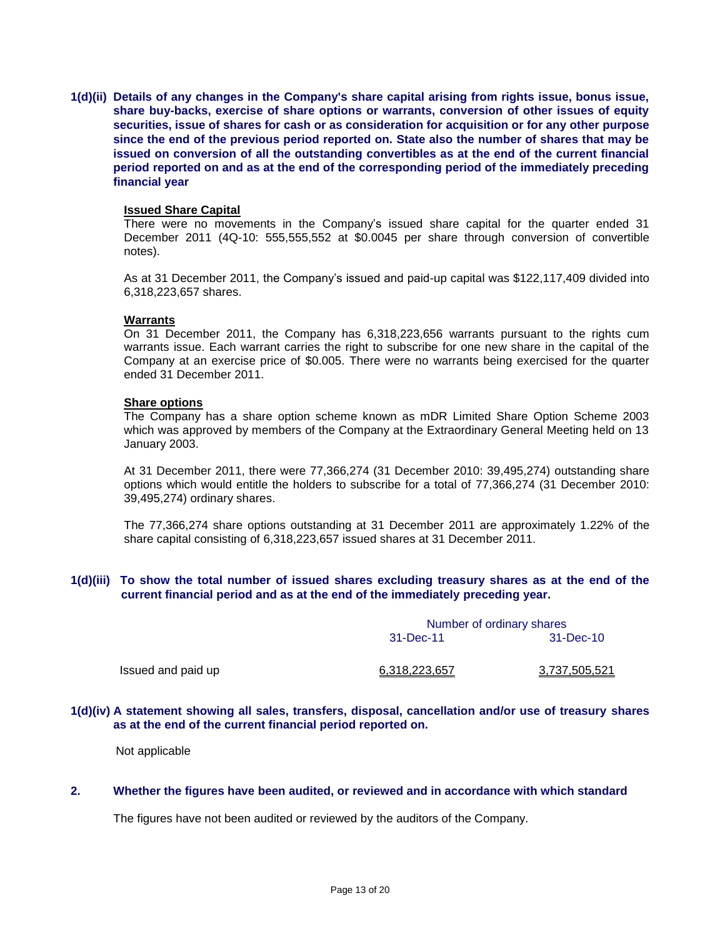**1(d)(ii) Details of any changes in the Company's share capital arising from rights issue, bonus issue, share buy-backs, exercise of share options or warrants, conversion of other issues of equity securities, issue of shares for cash or as consideration for acquisition or for any other purpose since the end of the previous period reported on. State also the number of shares that may be issued on conversion of all the outstanding convertibles as at the end of the current financial period reported on and as at the end of the corresponding period of the immediately preceding financial year**

#### **Issued Share Capital**

There were no movements in the Company's issued share capital for the quarter ended 31 December 2011 (4Q-10: 555,555,552 at \$0.0045 per share through conversion of convertible notes).

As at 31 December 2011, the Company's issued and paid-up capital was \$122,117,409 divided into 6,318,223,657 shares.

#### **Warrants**

On 31 December 2011, the Company has 6,318,223,656 warrants pursuant to the rights cum warrants issue. Each warrant carries the right to subscribe for one new share in the capital of the Company at an exercise price of \$0.005. There were no warrants being exercised for the quarter ended 31 December 2011.

#### **Share options**

The Company has a share option scheme known as mDR Limited Share Option Scheme 2003 which was approved by members of the Company at the Extraordinary General Meeting held on 13 January 2003.

At 31 December 2011, there were 77,366,274 (31 December 2010: 39,495,274) outstanding share options which would entitle the holders to subscribe for a total of 77,366,274 (31 December 2010: 39,495,274) ordinary shares.

The 77,366,274 share options outstanding at 31 December 2011 are approximately 1.22% of the share capital consisting of 6,318,223,657 issued shares at 31 December 2011.

## **1(d)(iii) To show the total number of issued shares excluding treasury shares as at the end of the current financial period and as at the end of the immediately preceding year.**

|                    | Number of ordinary shares |               |  |
|--------------------|---------------------------|---------------|--|
|                    | 31-Dec-11                 | 31-Dec-10     |  |
| Issued and paid up | 6,318,223,657             | 3,737,505,521 |  |

#### **1(d)(iv) A statement showing all sales, transfers, disposal, cancellation and/or use of treasury shares as at the end of the current financial period reported on.**

Not applicable

## **2. Whether the figures have been audited, or reviewed and in accordance with which standard**

The figures have not been audited or reviewed by the auditors of the Company.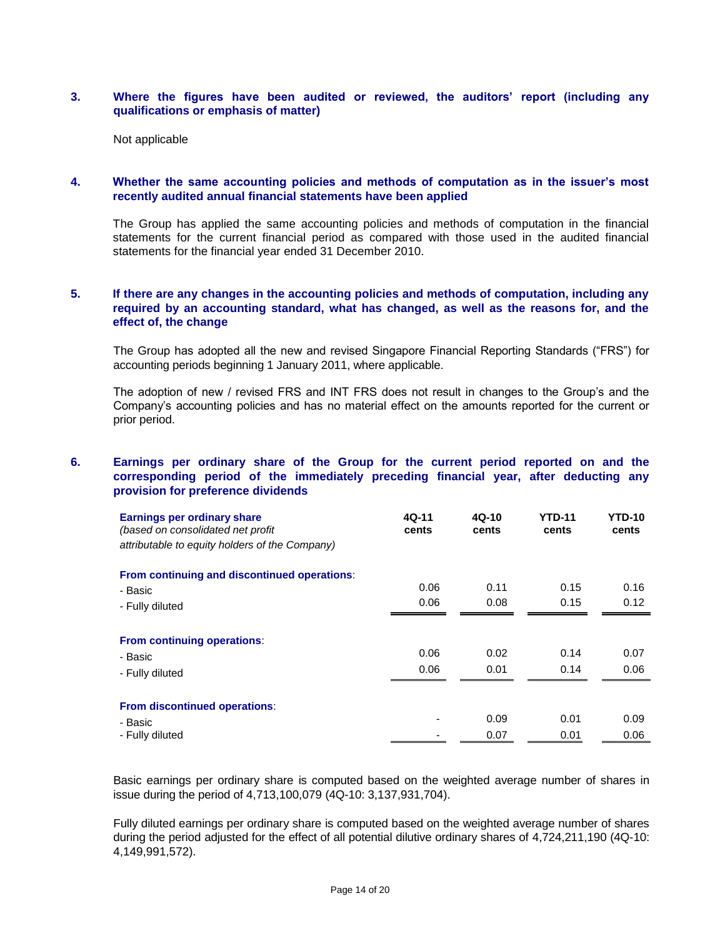## **3. Where the figures have been audited or reviewed, the auditors' report (including any qualifications or emphasis of matter)**

Not applicable

## **4. Whether the same accounting policies and methods of computation as in the issuer's most recently audited annual financial statements have been applied**

The Group has applied the same accounting policies and methods of computation in the financial statements for the current financial period as compared with those used in the audited financial statements for the financial year ended 31 December 2010.

## **5. If there are any changes in the accounting policies and methods of computation, including any required by an accounting standard, what has changed, as well as the reasons for, and the effect of, the change**

The Group has adopted all the new and revised Singapore Financial Reporting Standards ("FRS") for accounting periods beginning 1 January 2011, where applicable.

The adoption of new / revised FRS and INT FRS does not result in changes to the Group's and the Company's accounting policies and has no material effect on the amounts reported for the current or prior period.

## **6. Earnings per ordinary share of the Group for the current period reported on and the corresponding period of the immediately preceding financial year, after deducting any provision for preference dividends**

| <b>Earnings per ordinary share</b><br>(based on consolidated net profit<br>attributable to equity holders of the Company) | 4Q-11<br>cents | $4Q-10$<br>cents | <b>YTD-11</b><br>cents | <b>YTD-10</b><br>cents |
|---------------------------------------------------------------------------------------------------------------------------|----------------|------------------|------------------------|------------------------|
| From continuing and discontinued operations:<br>- Basic                                                                   | 0.06           | 0.11             | 0.15                   | 0.16                   |
| - Fully diluted                                                                                                           | 0.06           | 0.08             | 0.15                   | 0.12                   |
| From continuing operations:                                                                                               |                |                  |                        |                        |
| - Basic                                                                                                                   | 0.06           | 0.02             | 0.14                   | 0.07                   |
| - Fully diluted                                                                                                           | 0.06           | 0.01             | 0.14                   | 0.06                   |
| From discontinued operations:                                                                                             |                |                  |                        |                        |
| - Basic                                                                                                                   | ۰              | 0.09             | 0.01                   | 0.09                   |
| - Fully diluted                                                                                                           |                | 0.07             | 0.01                   | 0.06                   |

Basic earnings per ordinary share is computed based on the weighted average number of shares in issue during the period of 4,713,100,079 (4Q-10: 3,137,931,704).

Fully diluted earnings per ordinary share is computed based on the weighted average number of shares during the period adjusted for the effect of all potential dilutive ordinary shares of 4,724,211,190 (4Q-10: 4,149,991,572).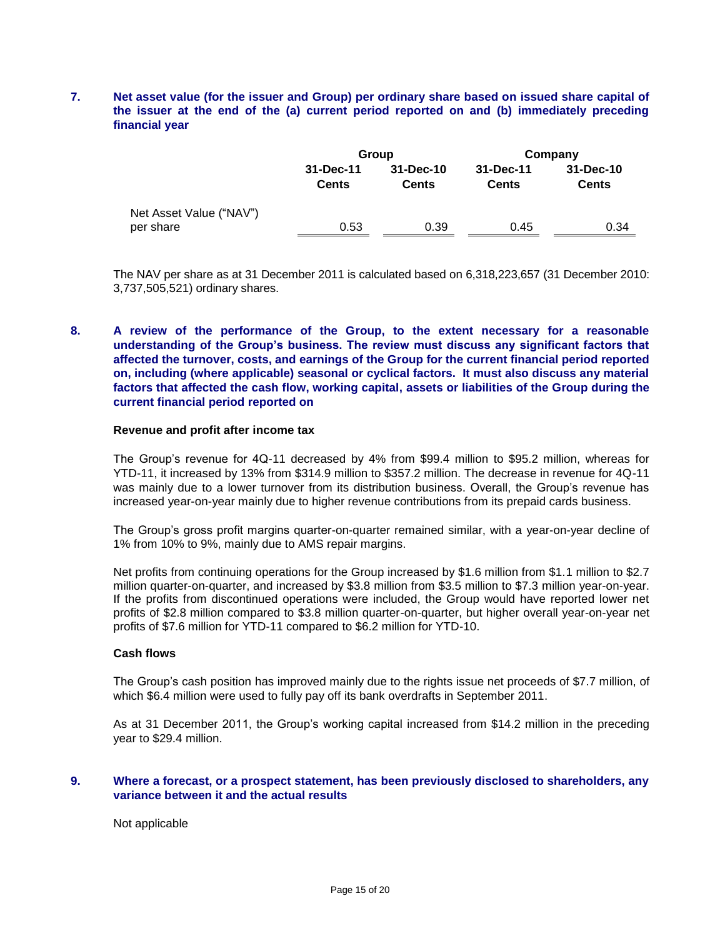## **7. Net asset value (for the issuer and Group) per ordinary share based on issued share capital of the issuer at the end of the (a) current period reported on and (b) immediately preceding financial year**

|                                      |                           | Group                     | Company                   |                           |  |
|--------------------------------------|---------------------------|---------------------------|---------------------------|---------------------------|--|
|                                      | 31-Dec-11<br><b>Cents</b> | 31-Dec-10<br><b>Cents</b> | 31-Dec-11<br><b>Cents</b> | 31-Dec-10<br><b>Cents</b> |  |
| Net Asset Value ("NAV")<br>per share | 0.53                      | 0.39                      | 0.45                      | 0.34                      |  |

The NAV per share as at 31 December 2011 is calculated based on 6,318,223,657 (31 December 2010: 3,737,505,521) ordinary shares.

## **8. A review of the performance of the Group, to the extent necessary for a reasonable understanding of the Group's business. The review must discuss any significant factors that affected the turnover, costs, and earnings of the Group for the current financial period reported on, including (where applicable) seasonal or cyclical factors. It must also discuss any material factors that affected the cash flow, working capital, assets or liabilities of the Group during the current financial period reported on**

# **Revenue and profit after income tax**

The Group's revenue for 4Q-11 decreased by 4% from \$99.4 million to \$95.2 million, whereas for YTD-11, it increased by 13% from \$314.9 million to \$357.2 million. The decrease in revenue for 4Q-11 was mainly due to a lower turnover from its distribution business. Overall, the Group's revenue has increased year-on-year mainly due to higher revenue contributions from its prepaid cards business.

The Group's gross profit margins quarter-on-quarter remained similar, with a year-on-year decline of 1% from 10% to 9%, mainly due to AMS repair margins.

Net profits from continuing operations for the Group increased by \$1.6 million from \$1.1 million to \$2.7 million quarter-on-quarter, and increased by \$3.8 million from \$3.5 million to \$7.3 million year-on-year. If the profits from discontinued operations were included, the Group would have reported lower net profits of \$2.8 million compared to \$3.8 million quarter-on-quarter, but higher overall year-on-year net profits of \$7.6 million for YTD-11 compared to \$6.2 million for YTD-10.

#### **Cash flows**

The Group's cash position has improved mainly due to the rights issue net proceeds of \$7.7 million, of which \$6.4 million were used to fully pay off its bank overdrafts in September 2011.

As at 31 December 2011, the Group's working capital increased from \$14.2 million in the preceding year to \$29.4 million.

#### **9. Where a forecast, or a prospect statement, has been previously disclosed to shareholders, any variance between it and the actual results**

Not applicable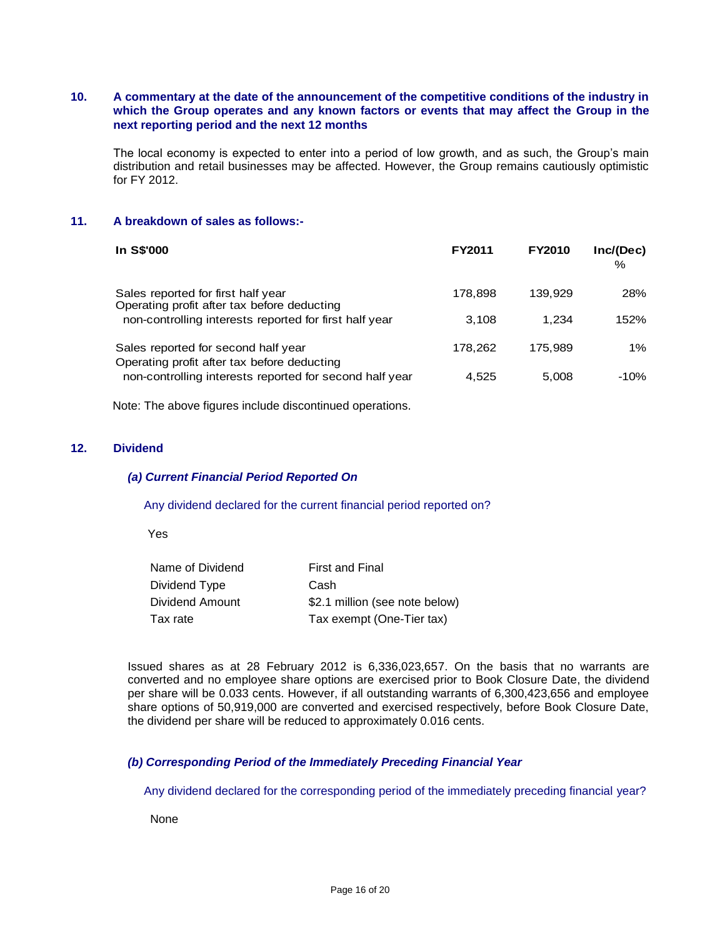## **10. A commentary at the date of the announcement of the competitive conditions of the industry in which the Group operates and any known factors or events that may affect the Group in the next reporting period and the next 12 months**

The local economy is expected to enter into a period of low growth, and as such, the Group's main distribution and retail businesses may be affected. However, the Group remains cautiously optimistic for FY 2012.

#### **11. A breakdown of sales as follows:-**

| In S\$'000                                                                         | <b>FY2011</b> | <b>FY2010</b> | Inc/(Dec)<br>% |
|------------------------------------------------------------------------------------|---------------|---------------|----------------|
| Sales reported for first half year<br>Operating profit after tax before deducting  | 178,898       | 139.929       | 28%            |
| non-controlling interests reported for first half year                             | 3.108         | 1.234         | 152%           |
| Sales reported for second half year<br>Operating profit after tax before deducting | 178,262       | 175.989       | $1\%$          |
| non-controlling interests reported for second half year                            | 4.525         | 5,008         | -10%           |

Note: The above figures include discontinued operations.

## **12. Dividend**

#### *(a) Current Financial Period Reported On*

#### Any dividend declared for the current financial period reported on?

Yes

| Name of Dividend | <b>First and Final</b>         |
|------------------|--------------------------------|
| Dividend Type    | Cash                           |
| Dividend Amount  | \$2.1 million (see note below) |
| Tax rate         | Tax exempt (One-Tier tax)      |

Issued shares as at 28 February 2012 is 6,336,023,657. On the basis that no warrants are converted and no employee share options are exercised prior to Book Closure Date, the dividend per share will be 0.033 cents. However, if all outstanding warrants of 6,300,423,656 and employee share options of 50,919,000 are converted and exercised respectively, before Book Closure Date, the dividend per share will be reduced to approximately 0.016 cents.

## *(b) Corresponding Period of the Immediately Preceding Financial Year*

Any dividend declared for the corresponding period of the immediately preceding financial year?

None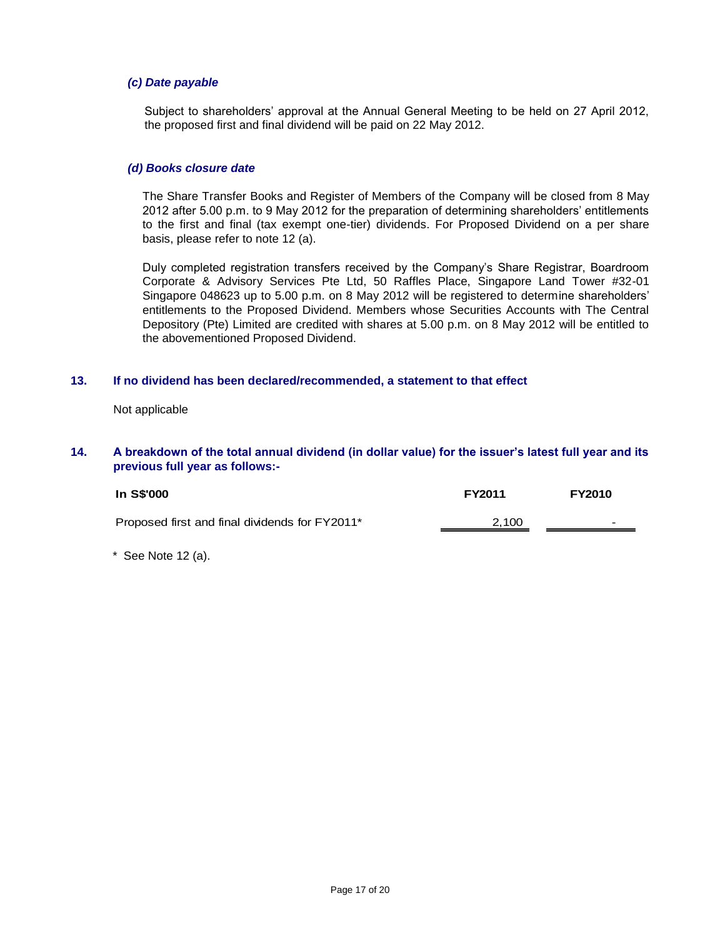## *(c) Date payable*

Subject to shareholders' approval at the Annual General Meeting to be held on 27 April 2012, the proposed first and final dividend will be paid on 22 May 2012.

## *(d) Books closure date*

The Share Transfer Books and Register of Members of the Company will be closed from 8 May 2012 after 5.00 p.m. to 9 May 2012 for the preparation of determining shareholders' entitlements to the first and final (tax exempt one-tier) dividends. For Proposed Dividend on a per share basis, please refer to note 12 (a).

Duly completed registration transfers received by the Company's Share Registrar, Boardroom Corporate & Advisory Services Pte Ltd, 50 Raffles Place, Singapore Land Tower #32-01 Singapore 048623 up to 5.00 p.m. on 8 May 2012 will be registered to determine shareholders' entitlements to the Proposed Dividend. Members whose Securities Accounts with The Central Depository (Pte) Limited are credited with shares at 5.00 p.m. on 8 May 2012 will be entitled to the abovementioned Proposed Dividend.

#### **13. If no dividend has been declared/recommended, a statement to that effect**

Not applicable

#### **14. A breakdown of the total annual dividend (in dollar value) for the issuer's latest full year and its previous full year as follows:-**

| In S\$'000                                     | <b>FY2011</b> | <b>FY2010</b>            |
|------------------------------------------------|---------------|--------------------------|
| Proposed first and final dividends for FY2011* | 2,100         | $\overline{\phantom{0}}$ |

 $*$  See Note 12 (a).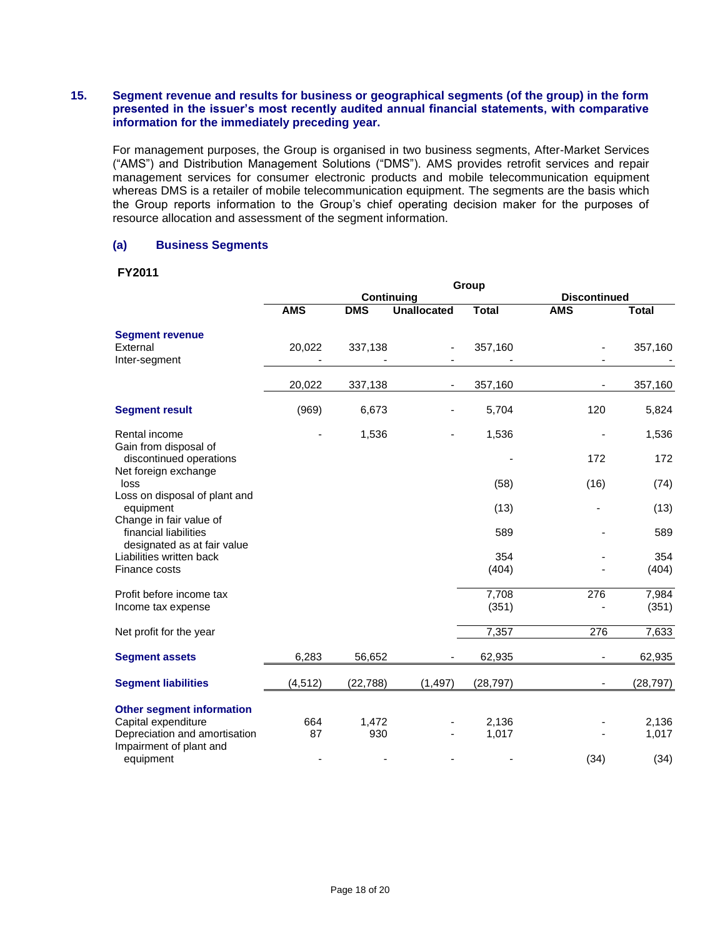## **15. Segment revenue and results for business or geographical segments (of the group) in the form presented in the issuer's most recently audited annual financial statements, with comparative information for the immediately preceding year.**

For management purposes, the Group is organised in two business segments, After-Market Services ("AMS") and Distribution Management Solutions ("DMS"). AMS provides retrofit services and repair management services for consumer electronic products and mobile telecommunication equipment whereas DMS is a retailer of mobile telecommunication equipment. The segments are the basis which the Group reports information to the Group's chief operating decision maker for the purposes of resource allocation and assessment of the segment information.

## **(a) Business Segments**

#### **FY2011**

|                                                                          | Group      |            |                    |                |                     |                |  |  |
|--------------------------------------------------------------------------|------------|------------|--------------------|----------------|---------------------|----------------|--|--|
|                                                                          |            |            | Continuing         |                | <b>Discontinued</b> |                |  |  |
|                                                                          | <b>AMS</b> | <b>DMS</b> | <b>Unallocated</b> | <b>Total</b>   | <b>AMS</b>          | <b>Total</b>   |  |  |
| <b>Segment revenue</b><br>External<br>Inter-segment                      | 20,022     | 337,138    |                    | 357,160        |                     | 357,160        |  |  |
|                                                                          | 20,022     | 337,138    |                    | 357,160        |                     | 357,160        |  |  |
| <b>Segment result</b>                                                    | (969)      | 6,673      |                    | 5,704          | 120                 | 5,824          |  |  |
| Rental income                                                            |            | 1,536      |                    | 1,536          |                     | 1,536          |  |  |
| Gain from disposal of<br>discontinued operations<br>Net foreign exchange |            |            |                    |                | 172                 | 172            |  |  |
| loss                                                                     |            |            |                    | (58)           | (16)                | (74)           |  |  |
| Loss on disposal of plant and<br>equipment<br>Change in fair value of    |            |            |                    | (13)           |                     | (13)           |  |  |
| financial liabilities<br>designated as at fair value                     |            |            |                    | 589            |                     | 589            |  |  |
| Liabilities written back<br>Finance costs                                |            |            |                    | 354<br>(404)   |                     | 354<br>(404)   |  |  |
| Profit before income tax<br>Income tax expense                           |            |            |                    | 7,708<br>(351) | 276                 | 7,984<br>(351) |  |  |
| Net profit for the year                                                  |            |            |                    | 7,357          | 276                 | 7,633          |  |  |
| <b>Segment assets</b>                                                    | 6,283      | 56,652     |                    | 62,935         |                     | 62,935         |  |  |
| <b>Segment liabilities</b>                                               | (4, 512)   | (22, 788)  | (1, 497)           | (28, 797)      |                     | (28, 797)      |  |  |
| <b>Other segment information</b>                                         |            |            |                    |                |                     |                |  |  |
| Capital expenditure                                                      | 664        | 1,472      |                    | 2,136          |                     | 2,136          |  |  |
| Depreciation and amortisation<br>Impairment of plant and                 | 87         | 930        |                    | 1,017          |                     | 1,017          |  |  |
| equipment                                                                |            |            |                    |                | (34)                | (34)           |  |  |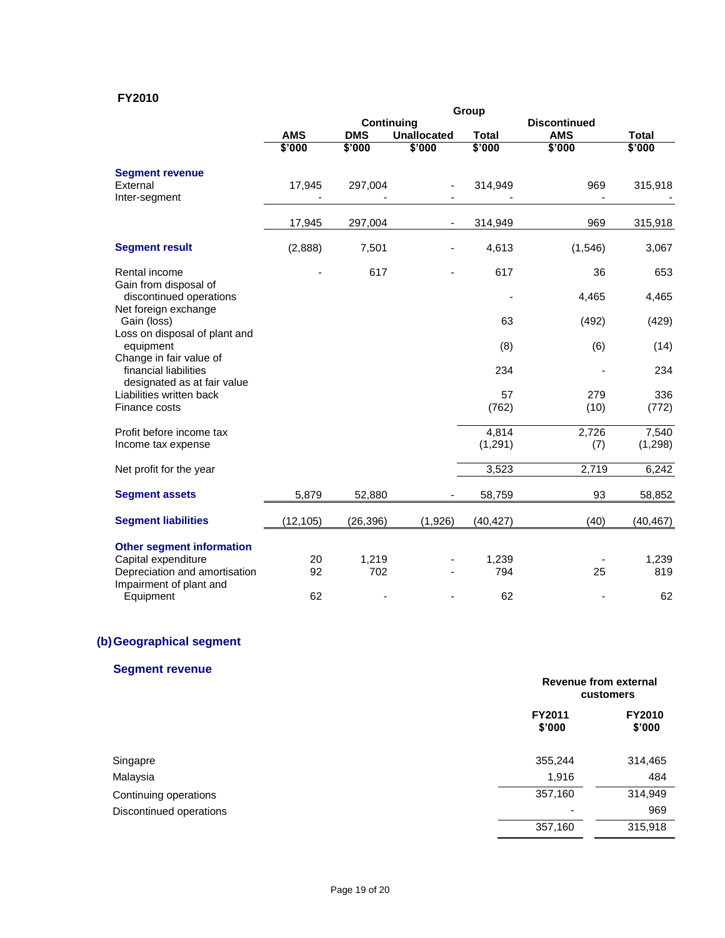# **FY2010**

|                                                                          | Group                             |            |                    |              |            |              |
|--------------------------------------------------------------------------|-----------------------------------|------------|--------------------|--------------|------------|--------------|
|                                                                          | Continuing<br><b>Discontinued</b> |            |                    |              |            |              |
|                                                                          | <b>AMS</b>                        | <b>DMS</b> | <b>Unallocated</b> | <b>Total</b> | <b>AMS</b> | <b>Total</b> |
|                                                                          | \$'000                            | \$'000     | \$'000             | \$'000       | \$'000     | \$'000       |
| <b>Segment revenue</b>                                                   |                                   |            |                    |              |            |              |
| External                                                                 | 17,945                            | 297,004    |                    | 314,949      | 969        | 315,918      |
| Inter-segment                                                            |                                   |            |                    |              |            |              |
|                                                                          | 17,945                            | 297,004    |                    | 314,949      | 969        | 315,918      |
| <b>Segment result</b>                                                    | (2,888)                           | 7,501      |                    | 4,613        | (1,546)    | 3,067        |
| Rental income                                                            |                                   | 617        |                    | 617          | 36         | 653          |
| Gain from disposal of<br>discontinued operations<br>Net foreign exchange |                                   |            |                    |              | 4,465      | 4,465        |
| Gain (loss)<br>Loss on disposal of plant and                             |                                   |            |                    | 63           | (492)      | (429)        |
| equipment<br>Change in fair value of                                     |                                   |            |                    | (8)          | (6)        | (14)         |
| financial liabilities<br>designated as at fair value                     |                                   |            |                    | 234          |            | 234          |
| Liabilities written back                                                 |                                   |            |                    | 57           | 279        | 336          |
| Finance costs                                                            |                                   |            |                    | (762)        | (10)       | (772)        |
| Profit before income tax                                                 |                                   |            |                    | 4,814        | 2,726      | 7,540        |
| Income tax expense                                                       |                                   |            |                    | (1, 291)     | (7)        | (1,298)      |
| Net profit for the year                                                  |                                   |            |                    | 3,523        | 2,719      | 6,242        |
| <b>Segment assets</b>                                                    | 5,879                             | 52,880     |                    | 58,759       | 93         | 58,852       |
| <b>Segment liabilities</b>                                               | (12, 105)                         | (26,396)   | (1,926)            | (40,427)     | (40)       | (40, 467)    |
| <b>Other segment information</b>                                         |                                   |            |                    |              |            |              |
| Capital expenditure                                                      | 20                                | 1,219      |                    | 1,239        |            | 1,239        |
| Depreciation and amortisation                                            | 92                                | 702        |                    | 794          | 25         | 819          |
| Impairment of plant and                                                  |                                   |            |                    |              |            |              |
| Equipment                                                                | 62                                |            |                    | 62           |            | 62           |

# **(b)Geographical segment**

# **Segment revenue**

|                         | Revenue from external<br>customers |                         |
|-------------------------|------------------------------------|-------------------------|
|                         | FY2011<br>\$'000                   | <b>FY2010</b><br>\$'000 |
| Singapre                | 355,244                            | 314,465                 |
| Malaysia                | 1,916                              | 484                     |
| Continuing operations   | 357,160                            | 314,949                 |
| Discontinued operations |                                    | 969                     |
|                         | 357,160                            | 315,918                 |